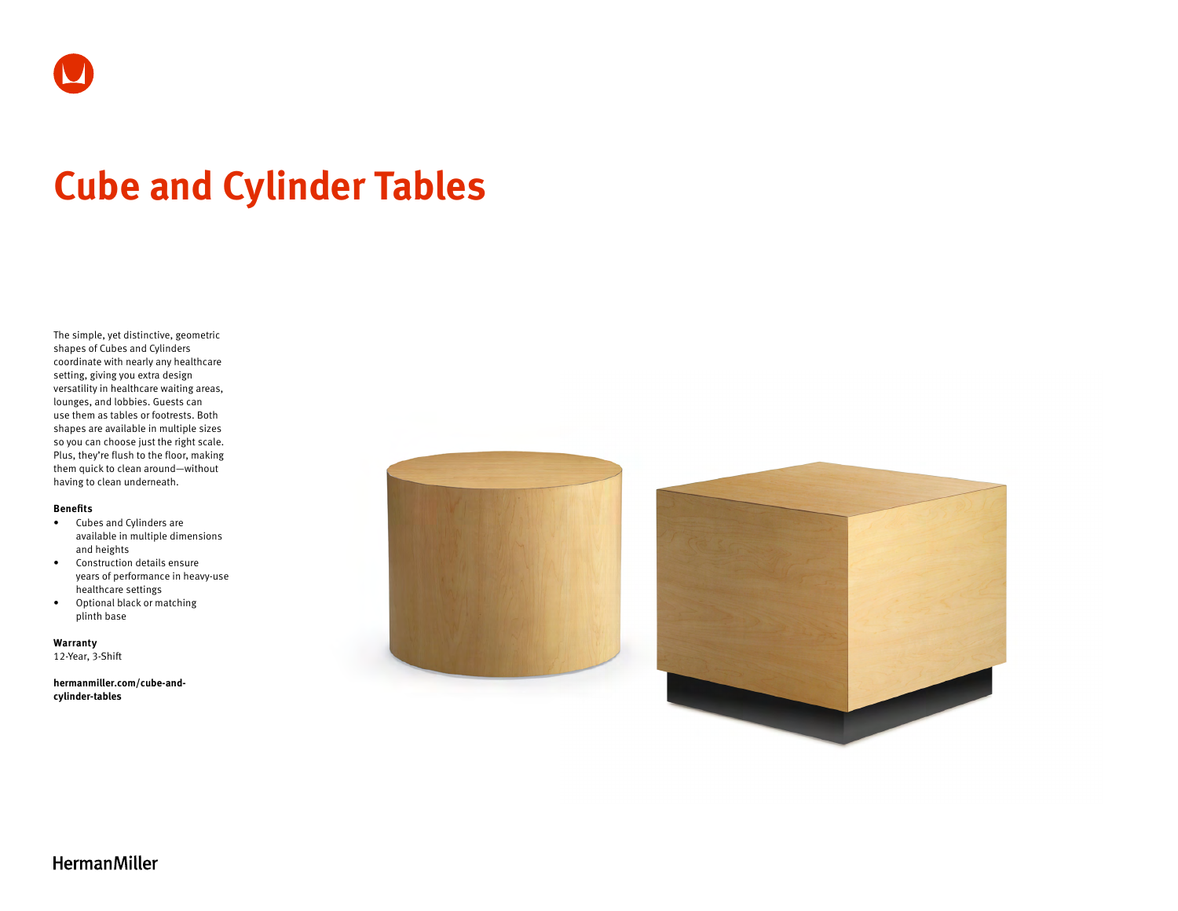# **Cube and Cylinder Tables**

The simple, yet distinctive, geometric shapes of Cubes and Cylinders coordinate with nearly any healthcare setting, giving you extra design versatility in healthcare waiting areas, lounges, and lobbies. Guests can use them as tables or footrests. Both shapes are available in multiple sizes so you can choose just the right scale. Plus, they're flush to the floor, making them quick to clean around—without having to clean underneath.

#### **Benefits**

- Cubes and Cylinders are available in multiple dimensions and heights
- Construction details ensure years of performance in heavy-use healthcare settings
- Optional black or matching plinth base

**Warranty**  12-Year, 3-Shift

**[hermanmiller.com/cube-and](https://www.hermanmiller.com/products/healthcare/waiting-area-tables/cube-and-cylinder-tables/)[cylinder-tables](https://www.hermanmiller.com/products/healthcare/waiting-area-tables/cube-and-cylinder-tables/)**